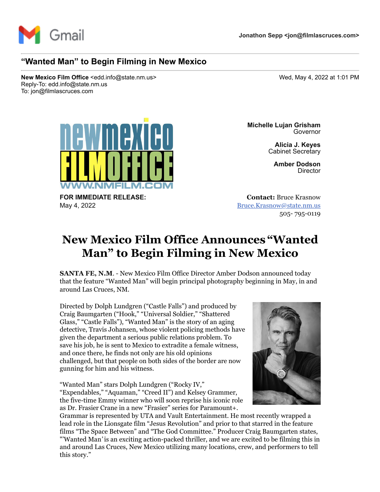

## **"Wanted Man" to Begin Filming in New Mexico**

**New Mexico Film Office** <edd.info@state.nm.us> Wed, May 4, 2022 at 1:01 PM Reply-To: edd.info@state.nm.us To: jon@filmlascruces.com



**FOR IMMEDIATE RELEASE:** May 4, 2022

**Michelle Lujan Grisham** Governor

> **Alicia J. Keyes** Cabinet Secretary

> > **Amber Dodson Director**

**Contact:** Bruce Krasnow [Bruce.Krasnow@state.nm.us](mailto:Bruce.Krasnow@state.nm.us) 505- 795-0119

## **New Mexico Film Office Announces "Wanted Man" to Begin Filming in New Mexico**

**SANTA FE, N.M**. - New Mexico Film Office Director Amber Dodson announced today that the feature "Wanted Man" will begin principal photography beginning in May, in and around Las Cruces, NM.

Directed by Dolph Lundgren ("Castle Falls") and produced by Craig Baumgarten ("Hook," "Universal Soldier," "Shattered Glass," "Castle Falls"), "Wanted Man" is the story of an aging detective, Travis Johansen, whose violent policing methods have given the department a serious public relations problem. To save his job, he is sent to Mexico to extradite a female witness, and once there, he finds not only are his old opinions challenged, but that people on both sides of the border are now gunning for him and his witness.

"Wanted Man" stars Dolph Lundgren ("Rocky IV," "Expendables," "Aquaman," "Creed II") and Kelsey Grammer, the five-time Emmy winner who will soon reprise his iconic role as Dr. Frasier Crane in a new "Frasier" series for Paramount+.



Grammar is represented by UTA and Vault Entertainment. He most recently wrapped a lead role in the Lionsgate film "Jesus Revolution" and prior to that starred in the feature films "The Space Between" and "The God Committee." Producer Craig Baumgarten states, "'Wanted Man*'* is an exciting action-packed thriller, and we are excited to be filming this in and around Las Cruces, New Mexico utilizing many locations, crew, and performers to tell this story."